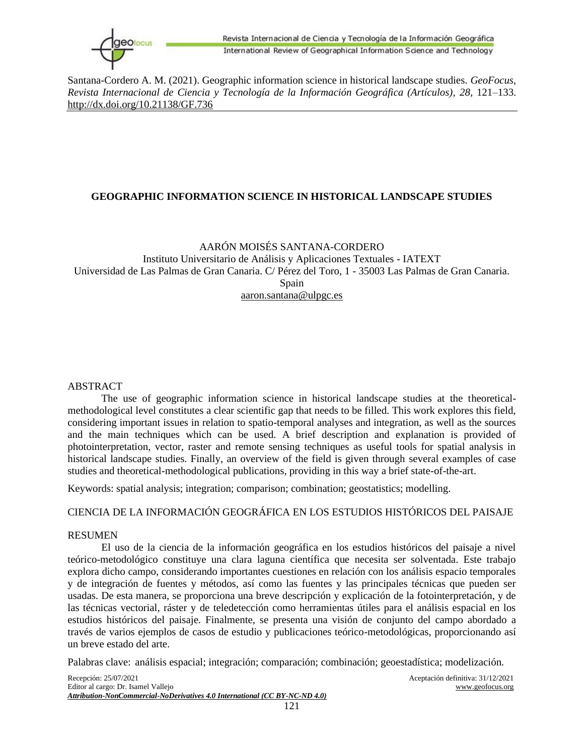

# **GEOGRAPHIC INFORMATION SCIENCE IN HISTORICAL LANDSCAPE STUDIES**

## AARÓN MOISÉS SANTANA-CORDERO

Instituto Universitario de Análisis y Aplicaciones Textuales - IATEXT Universidad de Las Palmas de Gran Canaria. C/ Pérez del Toro, 1 - 35003 Las Palmas de Gran Canaria. Spain aaron.santana@ulpgc.es

### ABSTRACT

The use of geographic information science in historical landscape studies at the theoreticalmethodological level constitutes a clear scientific gap that needs to be filled. This work explores this field, considering important issues in relation to spatio-temporal analyses and integration, as well as the sources and the main techniques which can be used. A brief description and explanation is provided of photointerpretation, vector, raster and remote sensing techniques as useful tools for spatial analysis in historical landscape studies. Finally, an overview of the field is given through several examples of case studies and theoretical-methodological publications, providing in this way a brief state-of-the-art.

Keywords: spatial analysis; integration; comparison; combination; geostatistics; modelling.

## CIENCIA DE LA INFORMACIÓN GEOGRÁFICA EN LOS ESTUDIOS HISTÓRICOS DEL PAISAJE

#### RESUMEN

El uso de la ciencia de la información geográfica en los estudios históricos del paisaje a nivel teórico-metodológico constituye una clara laguna científica que necesita ser solventada. Este trabajo explora dicho campo, considerando importantes cuestiones en relación con los análisis espacio temporales y de integración de fuentes y métodos, así como las fuentes y las principales técnicas que pueden ser usadas. De esta manera, se proporciona una breve descripción y explicación de la fotointerpretación, y de las técnicas vectorial, ráster y de teledetección como herramientas útiles para el análisis espacial en los estudios históricos del paisaje. Finalmente, se presenta una visión de conjunto del campo abordado a través de varios ejemplos de casos de estudio y publicaciones teórico-metodológicas, proporcionando así un breve estado del arte.

Palabras clave: análisis espacial; integración; comparación; combinación; geoestadística; modelización.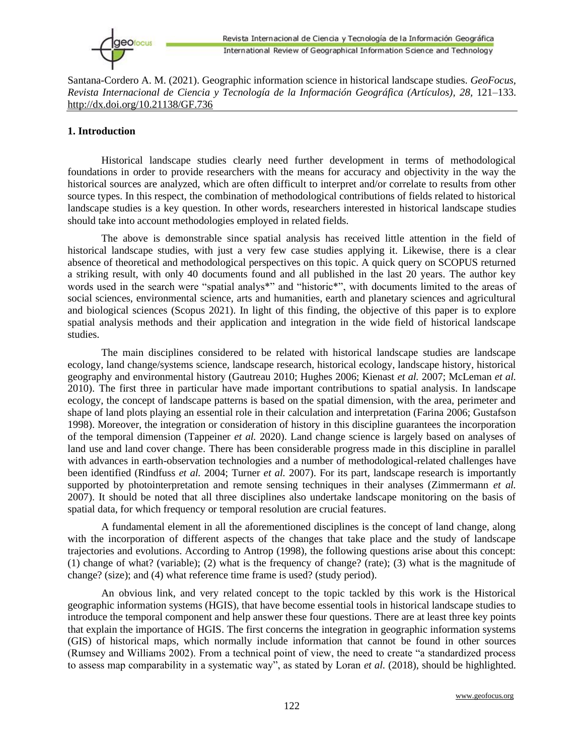

## **1. Introduction**

Historical landscape studies clearly need further development in terms of methodological foundations in order to provide researchers with the means for accuracy and objectivity in the way the historical sources are analyzed, which are often difficult to interpret and/or correlate to results from other source types. In this respect, the combination of methodological contributions of fields related to historical landscape studies is a key question. In other words, researchers interested in historical landscape studies should take into account methodologies employed in related fields.

The above is demonstrable since spatial analysis has received little attention in the field of historical landscape studies, with just a very few case studies applying it. Likewise, there is a clear absence of theoretical and methodological perspectives on this topic. A quick query on SCOPUS returned a striking result, with only 40 documents found and all published in the last 20 years. The author key words used in the search were "spatial analys\*" and "historic\*", with documents limited to the areas of social sciences, environmental science, arts and humanities, earth and planetary sciences and agricultural and biological sciences (Scopus 2021). In light of this finding, the objective of this paper is to explore spatial analysis methods and their application and integration in the wide field of historical landscape studies.

The main disciplines considered to be related with historical landscape studies are landscape ecology, land change/systems science, landscape research, historical ecology, landscape history, historical geography and environmental history (Gautreau 2010; Hughes 2006; Kienast *et al.* 2007; McLeman *et al.* 2010). The first three in particular have made important contributions to spatial analysis. In landscape ecology, the concept of landscape patterns is based on the spatial dimension, with the area, perimeter and shape of land plots playing an essential role in their calculation and interpretation (Farina 2006; Gustafson 1998). Moreover, the integration or consideration of history in this discipline guarantees the incorporation of the temporal dimension (Tappeiner *et al.* 2020). Land change science is largely based on analyses of land use and land cover change. There has been considerable progress made in this discipline in parallel with advances in earth-observation technologies and a number of methodological-related challenges have been identified (Rindfuss *et al.* 2004; Turner *et al.* 2007). For its part, landscape research is importantly supported by photointerpretation and remote sensing techniques in their analyses (Zimmermann *et al.* 2007). It should be noted that all three disciplines also undertake landscape monitoring on the basis of spatial data, for which frequency or temporal resolution are crucial features.

A fundamental element in all the aforementioned disciplines is the concept of land change, along with the incorporation of different aspects of the changes that take place and the study of landscape trajectories and evolutions. According to Antrop (1998), the following questions arise about this concept: (1) change of what? (variable); (2) what is the frequency of change? (rate); (3) what is the magnitude of change? (size); and (4) what reference time frame is used? (study period).

An obvious link, and very related concept to the topic tackled by this work is the Historical geographic information systems (HGIS), that have become essential tools in historical landscape studies to introduce the temporal component and help answer these four questions. There are at least three key points that explain the importance of HGIS. The first concerns the integration in geographic information systems (GIS) of historical maps, which normally include information that cannot be found in other sources (Rumsey and Williams 2002). From a technical point of view, the need to create "a standardized process to assess map comparability in a systematic way", as stated by Loran *et al.* (2018), should be highlighted.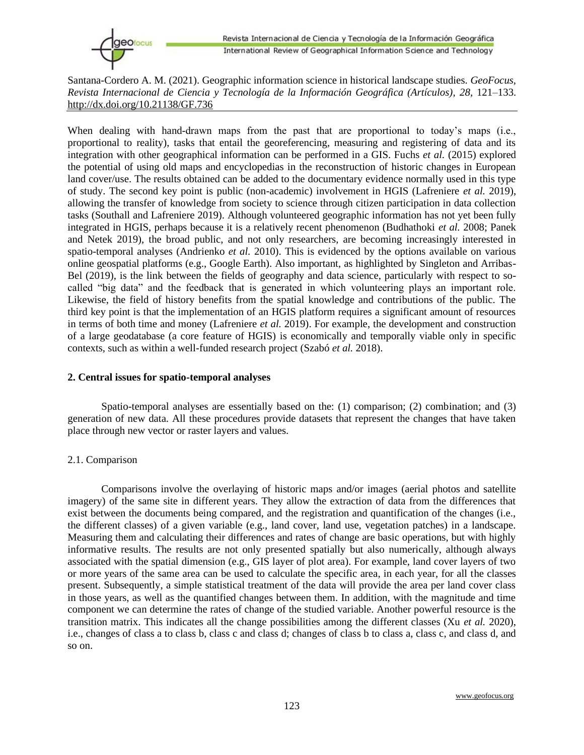When dealing with hand-drawn maps from the past that are proportional to today's maps (i.e., proportional to reality), tasks that entail the georeferencing, measuring and registering of data and its integration with other geographical information can be performed in a GIS. Fuchs *et al.* (2015) explored the potential of using old maps and encyclopedias in the reconstruction of historic changes in European land cover/use. The results obtained can be added to the documentary evidence normally used in this type of study. The second key point is public (non-academic) involvement in HGIS (Lafreniere *et al.* 2019), allowing the transfer of knowledge from society to science through citizen participation in data collection tasks (Southall and Lafreniere 2019). Although volunteered geographic information has not yet been fully integrated in HGIS, perhaps because it is a relatively recent phenomenon (Budhathoki *et al.* 2008; Panek and Netek 2019), the broad public, and not only researchers, are becoming increasingly interested in spatio-temporal analyses (Andrienko *et al.* 2010). This is evidenced by the options available on various online geospatial platforms (e.g., Google Earth). Also important, as highlighted by Singleton and Arribas-Bel (2019), is the link between the fields of geography and data science, particularly with respect to socalled "big data" and the feedback that is generated in which volunteering plays an important role. Likewise, the field of history benefits from the spatial knowledge and contributions of the public. The third key point is that the implementation of an HGIS platform requires a significant amount of resources in terms of both time and money (Lafreniere *et al.* 2019). For example, the development and construction of a large geodatabase (a core feature of HGIS) is economically and temporally viable only in specific contexts, such as within a well-funded research project (Szabó *et al.* 2018).

### **2. Central issues for spatio-temporal analyses**

Spatio-temporal analyses are essentially based on the: (1) comparison; (2) combination; and (3) generation of new data. All these procedures provide datasets that represent the changes that have taken place through new vector or raster layers and values.

### 2.1. Comparison

Comparisons involve the overlaying of historic maps and/or images (aerial photos and satellite imagery) of the same site in different years. They allow the extraction of data from the differences that exist between the documents being compared, and the registration and quantification of the changes (i.e., the different classes) of a given variable (e.g., land cover, land use, vegetation patches) in a landscape. Measuring them and calculating their differences and rates of change are basic operations, but with highly informative results. The results are not only presented spatially but also numerically, although always associated with the spatial dimension (e.g., GIS layer of plot area). For example, land cover layers of two or more years of the same area can be used to calculate the specific area, in each year, for all the classes present. Subsequently, a simple statistical treatment of the data will provide the area per land cover class in those years, as well as the quantified changes between them. In addition, with the magnitude and time component we can determine the rates of change of the studied variable. Another powerful resource is the transition matrix. This indicates all the change possibilities among the different classes (Xu *et al.* 2020), i.e., changes of class a to class b, class c and class d; changes of class b to class a, class c, and class d, and so on.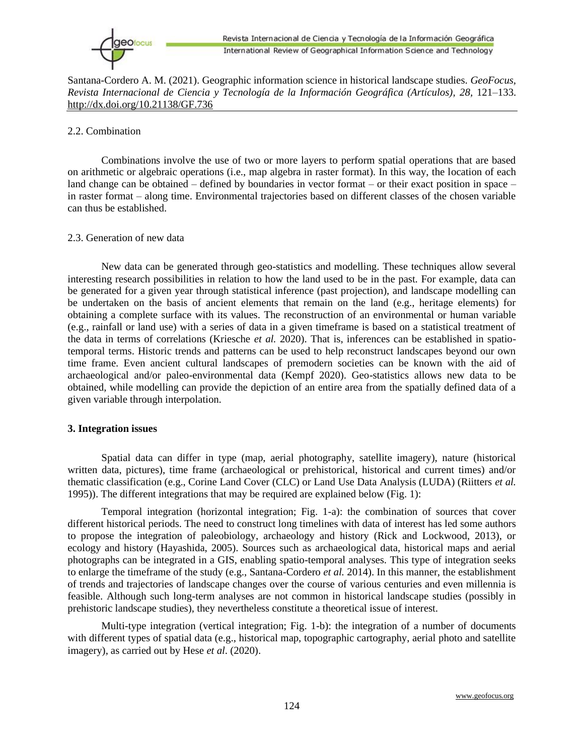

### 2.2. Combination

Combinations involve the use of two or more layers to perform spatial operations that are based on arithmetic or algebraic operations (i.e., map algebra in raster format). In this way, the location of each land change can be obtained – defined by boundaries in vector format – or their exact position in space – in raster format – along time. Environmental trajectories based on different classes of the chosen variable can thus be established.

### 2.3. Generation of new data

New data can be generated through geo-statistics and modelling. These techniques allow several interesting research possibilities in relation to how the land used to be in the past. For example, data can be generated for a given year through statistical inference (past projection), and landscape modelling can be undertaken on the basis of ancient elements that remain on the land (e.g., heritage elements) for obtaining a complete surface with its values. The reconstruction of an environmental or human variable (e.g., rainfall or land use) with a series of data in a given timeframe is based on a statistical treatment of the data in terms of correlations (Kriesche *et al.* 2020). That is, inferences can be established in spatiotemporal terms. Historic trends and patterns can be used to help reconstruct landscapes beyond our own time frame. Even ancient cultural landscapes of premodern societies can be known with the aid of archaeological and/or paleo-environmental data (Kempf 2020). Geo-statistics allows new data to be obtained, while modelling can provide the depiction of an entire area from the spatially defined data of a given variable through interpolation.

### **3. Integration issues**

Spatial data can differ in type (map, aerial photography, satellite imagery), nature (historical written data, pictures), time frame (archaeological or prehistorical, historical and current times) and/or thematic classification (e.g., Corine Land Cover (CLC) or Land Use Data Analysis (LUDA) (Riitters *et al.* 1995)). The different integrations that may be required are explained below (Fig. 1):

Temporal integration (horizontal integration; Fig. 1-a): the combination of sources that cover different historical periods. The need to construct long timelines with data of interest has led some authors to propose the integration of paleobiology, archaeology and history (Rick and Lockwood, 2013), or ecology and history (Hayashida, 2005). Sources such as archaeological data, historical maps and aerial photographs can be integrated in a GIS, enabling spatio-temporal analyses. This type of integration seeks to enlarge the timeframe of the study (e.g., Santana-Cordero *et al.* 2014). In this manner, the establishment of trends and trajectories of landscape changes over the course of various centuries and even millennia is feasible. Although such long-term analyses are not common in historical landscape studies (possibly in prehistoric landscape studies), they nevertheless constitute a theoretical issue of interest.

Multi-type integration (vertical integration; Fig. 1-b): the integration of a number of documents with different types of spatial data (e.g., historical map, topographic cartography, aerial photo and satellite imagery), as carried out by Hese *et al*. (2020).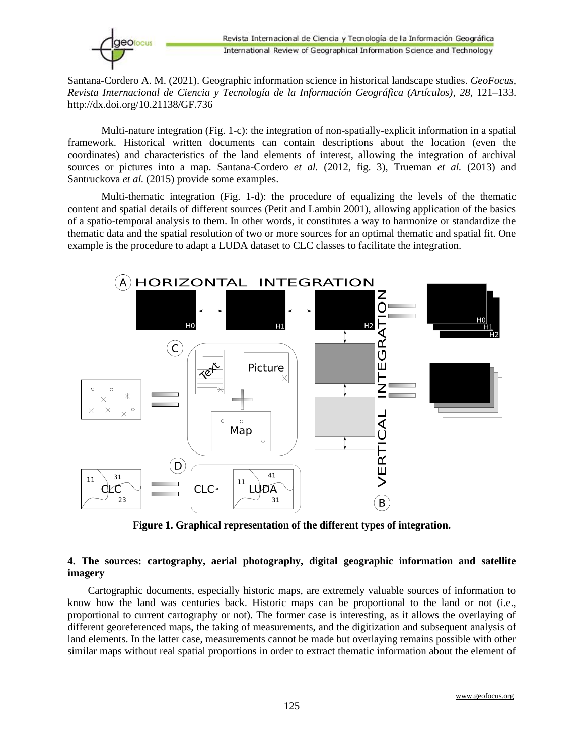

Multi-nature integration (Fig. 1-c): the integration of non-spatially-explicit information in a spatial framework. Historical written documents can contain descriptions about the location (even the coordinates) and characteristics of the land elements of interest, allowing the integration of archival sources or pictures into a map. Santana-Cordero *et al.* (2012, fig. 3), Trueman *et al.* (2013) and Santruckova *et al.* (2015) provide some examples.

Multi-thematic integration (Fig. 1-d): the procedure of equalizing the levels of the thematic content and spatial details of different sources (Petit and Lambin 2001), allowing application of the basics of a spatio-temporal analysis to them. In other words, it constitutes a way to harmonize or standardize the thematic data and the spatial resolution of two or more sources for an optimal thematic and spatial fit. One example is the procedure to adapt a LUDA dataset to CLC classes to facilitate the integration.



**Figure 1. Graphical representation of the different types of integration.**

## **4. The sources: cartography, aerial photography, digital geographic information and satellite imagery**

Cartographic documents, especially historic maps, are extremely valuable sources of information to know how the land was centuries back. Historic maps can be proportional to the land or not (i.e., proportional to current cartography or not). The former case is interesting, as it allows the overlaying of different georeferenced maps, the taking of measurements, and the digitization and subsequent analysis of land elements. In the latter case, measurements cannot be made but overlaying remains possible with other similar maps without real spatial proportions in order to extract thematic information about the element of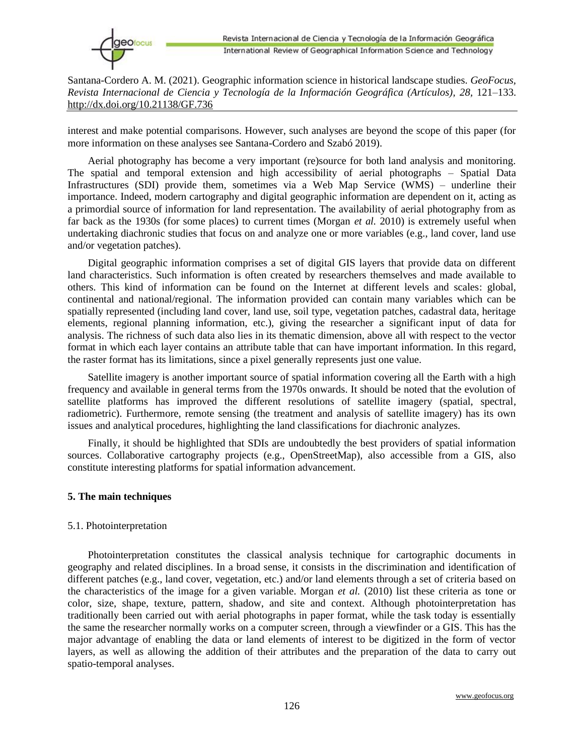

interest and make potential comparisons. However, such analyses are beyond the scope of this paper (for more information on these analyses see Santana-Cordero and Szabó 2019).

Aerial photography has become a very important (re)source for both land analysis and monitoring. The spatial and temporal extension and high accessibility of aerial photographs – Spatial Data Infrastructures (SDI) provide them, sometimes via a Web Map Service (WMS) – underline their importance. Indeed, modern cartography and digital geographic information are dependent on it, acting as a primordial source of information for land representation. The availability of aerial photography from as far back as the 1930s (for some places) to current times (Morgan *et al.* 2010) is extremely useful when undertaking diachronic studies that focus on and analyze one or more variables (e.g., land cover, land use and/or vegetation patches).

Digital geographic information comprises a set of digital GIS layers that provide data on different land characteristics. Such information is often created by researchers themselves and made available to others. This kind of information can be found on the Internet at different levels and scales: global, continental and national/regional. The information provided can contain many variables which can be spatially represented (including land cover, land use, soil type, vegetation patches, cadastral data, heritage elements, regional planning information, etc.), giving the researcher a significant input of data for analysis. The richness of such data also lies in its thematic dimension, above all with respect to the vector format in which each layer contains an attribute table that can have important information. In this regard, the raster format has its limitations, since a pixel generally represents just one value.

Satellite imagery is another important source of spatial information covering all the Earth with a high frequency and available in general terms from the 1970s onwards. It should be noted that the evolution of satellite platforms has improved the different resolutions of satellite imagery (spatial, spectral, radiometric). Furthermore, remote sensing (the treatment and analysis of satellite imagery) has its own issues and analytical procedures, highlighting the land classifications for diachronic analyzes.

Finally, it should be highlighted that SDIs are undoubtedly the best providers of spatial information sources. Collaborative cartography projects (e.g., OpenStreetMap), also accessible from a GIS, also constitute interesting platforms for spatial information advancement.

### **5. The main techniques**

### 5.1. Photointerpretation

Photointerpretation constitutes the classical analysis technique for cartographic documents in geography and related disciplines. In a broad sense, it consists in the discrimination and identification of different patches (e.g., land cover, vegetation, etc.) and/or land elements through a set of criteria based on the characteristics of the image for a given variable. Morgan *et al.* (2010) list these criteria as tone or color, size, shape, texture, pattern, shadow, and site and context. Although photointerpretation has traditionally been carried out with aerial photographs in paper format, while the task today is essentially the same the researcher normally works on a computer screen, through a viewfinder or a GIS. This has the major advantage of enabling the data or land elements of interest to be digitized in the form of vector layers, as well as allowing the addition of their attributes and the preparation of the data to carry out spatio-temporal analyses.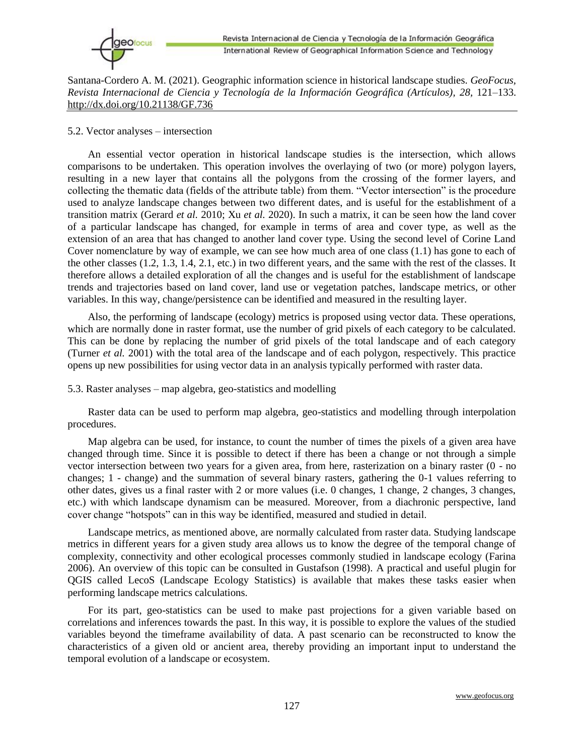

### 5.2. Vector analyses – intersection

An essential vector operation in historical landscape studies is the intersection, which allows comparisons to be undertaken. This operation involves the overlaying of two (or more) polygon layers, resulting in a new layer that contains all the polygons from the crossing of the former layers, and collecting the thematic data (fields of the attribute table) from them. "Vector intersection" is the procedure used to analyze landscape changes between two different dates, and is useful for the establishment of a transition matrix (Gerard *et al.* 2010; Xu *et al.* 2020). In such a matrix, it can be seen how the land cover of a particular landscape has changed, for example in terms of area and cover type, as well as the extension of an area that has changed to another land cover type. Using the second level of Corine Land Cover nomenclature by way of example, we can see how much area of one class (1.1) has gone to each of the other classes (1.2, 1.3, 1.4, 2.1, etc.) in two different years, and the same with the rest of the classes. It therefore allows a detailed exploration of all the changes and is useful for the establishment of landscape trends and trajectories based on land cover, land use or vegetation patches, landscape metrics, or other variables. In this way, change/persistence can be identified and measured in the resulting layer.

Also, the performing of landscape (ecology) metrics is proposed using vector data. These operations, which are normally done in raster format, use the number of grid pixels of each category to be calculated. This can be done by replacing the number of grid pixels of the total landscape and of each category (Turner *et al.* 2001) with the total area of the landscape and of each polygon, respectively. This practice opens up new possibilities for using vector data in an analysis typically performed with raster data.

5.3. Raster analyses – map algebra, geo-statistics and modelling

Raster data can be used to perform map algebra, geo-statistics and modelling through interpolation procedures.

Map algebra can be used, for instance, to count the number of times the pixels of a given area have changed through time. Since it is possible to detect if there has been a change or not through a simple vector intersection between two years for a given area, from here, rasterization on a binary raster (0 - no changes; 1 - change) and the summation of several binary rasters, gathering the 0-1 values referring to other dates, gives us a final raster with 2 or more values (i.e. 0 changes, 1 change, 2 changes, 3 changes, etc.) with which landscape dynamism can be measured. Moreover, from a diachronic perspective, land cover change "hotspots" can in this way be identified, measured and studied in detail.

Landscape metrics, as mentioned above, are normally calculated from raster data. Studying landscape metrics in different years for a given study area allows us to know the degree of the temporal change of complexity, connectivity and other ecological processes commonly studied in landscape ecology (Farina 2006). An overview of this topic can be consulted in Gustafson (1998). A practical and useful plugin for QGIS called LecoS (Landscape Ecology Statistics) is available that makes these tasks easier when performing landscape metrics calculations.

For its part, geo-statistics can be used to make past projections for a given variable based on correlations and inferences towards the past. In this way, it is possible to explore the values of the studied variables beyond the timeframe availability of data. A past scenario can be reconstructed to know the characteristics of a given old or ancient area, thereby providing an important input to understand the temporal evolution of a landscape or ecosystem.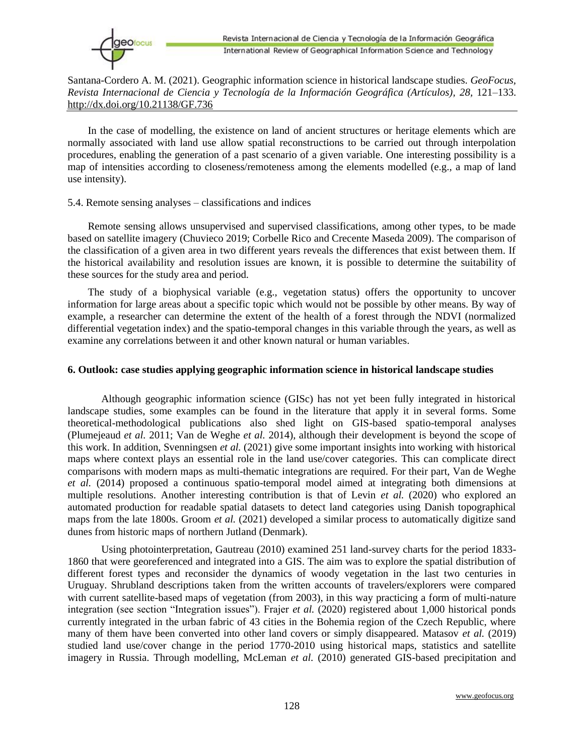

In the case of modelling, the existence on land of ancient structures or heritage elements which are normally associated with land use allow spatial reconstructions to be carried out through interpolation procedures, enabling the generation of a past scenario of a given variable. One interesting possibility is a map of intensities according to closeness/remoteness among the elements modelled (e.g., a map of land use intensity).

#### 5.4. Remote sensing analyses – classifications and indices

Remote sensing allows unsupervised and supervised classifications, among other types, to be made based on satellite imagery (Chuvieco 2019; Corbelle Rico and Crecente Maseda 2009). The comparison of the classification of a given area in two different years reveals the differences that exist between them. If the historical availability and resolution issues are known, it is possible to determine the suitability of these sources for the study area and period.

The study of a biophysical variable (e.g., vegetation status) offers the opportunity to uncover information for large areas about a specific topic which would not be possible by other means. By way of example, a researcher can determine the extent of the health of a forest through the NDVI (normalized differential vegetation index) and the spatio-temporal changes in this variable through the years, as well as examine any correlations between it and other known natural or human variables.

#### **6. Outlook: case studies applying geographic information science in historical landscape studies**

Although geographic information science (GISc) has not yet been fully integrated in historical landscape studies, some examples can be found in the literature that apply it in several forms. Some theoretical-methodological publications also shed light on GIS-based spatio-temporal analyses (Plumejeaud *et al.* 2011; Van de Weghe *et al.* 2014), although their development is beyond the scope of this work. In addition, Svenningsen *et al.* (2021) give some important insights into working with historical maps where context plays an essential role in the land use/cover categories. This can complicate direct comparisons with modern maps as multi-thematic integrations are required. For their part, Van de Weghe *et al.* (2014) proposed a continuous spatio-temporal model aimed at integrating both dimensions at multiple resolutions. Another interesting contribution is that of Levin *et al.* (2020) who explored an automated production for readable spatial datasets to detect land categories using Danish topographical maps from the late 1800s. Groom *et al.* (2021) developed a similar process to automatically digitize sand dunes from historic maps of northern Jutland (Denmark).

Using photointerpretation, Gautreau (2010) examined 251 land-survey charts for the period 1833- 1860 that were georeferenced and integrated into a GIS. The aim was to explore the spatial distribution of different forest types and reconsider the dynamics of woody vegetation in the last two centuries in Uruguay. Shrubland descriptions taken from the written accounts of travelers/explorers were compared with current satellite-based maps of vegetation (from 2003), in this way practicing a form of multi-nature integration (see section "Integration issues"). Frajer *et al.* (2020) registered about 1,000 historical ponds currently integrated in the urban fabric of 43 cities in the Bohemia region of the Czech Republic, where many of them have been converted into other land covers or simply disappeared. Matasov *et al.* (2019) studied land use/cover change in the period 1770-2010 using historical maps, statistics and satellite imagery in Russia. Through modelling, McLeman *et al.* (2010) generated GIS-based precipitation and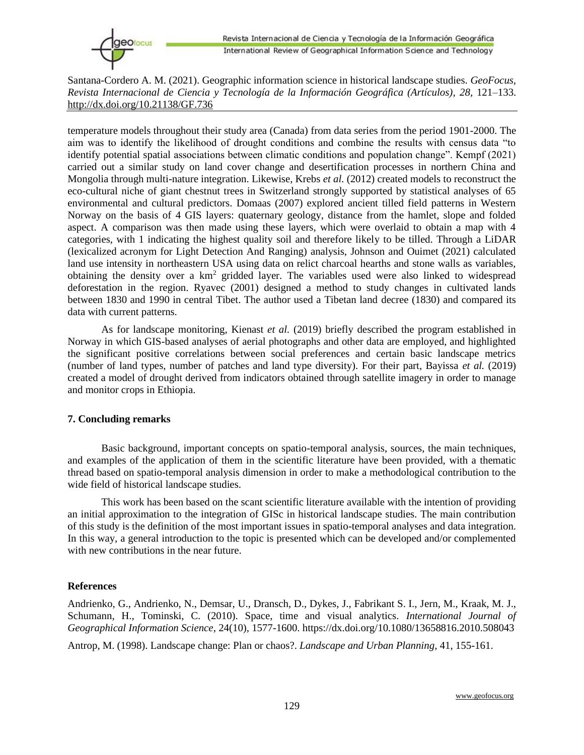temperature models throughout their study area (Canada) from data series from the period 1901-2000. The aim was to identify the likelihood of drought conditions and combine the results with census data "to identify potential spatial associations between climatic conditions and population change". Kempf (2021) carried out a similar study on land cover change and desertification processes in northern China and Mongolia through multi-nature integration. Likewise, Krebs *et al.* (2012) created models to reconstruct the eco-cultural niche of giant chestnut trees in Switzerland strongly supported by statistical analyses of 65 environmental and cultural predictors. Domaas (2007) explored ancient tilled field patterns in Western Norway on the basis of 4 GIS layers: quaternary geology, distance from the hamlet, slope and folded aspect. A comparison was then made using these layers, which were overlaid to obtain a map with 4 categories, with 1 indicating the highest quality soil and therefore likely to be tilled. Through a LiDAR (lexicalized acronym for Light Detection And Ranging) analysis, Johnson and Ouimet (2021) calculated land use intensity in northeastern USA using data on relict charcoal hearths and stone walls as variables, obtaining the density over a km<sup>2</sup> gridded layer. The variables used were also linked to widespread deforestation in the region. Ryavec (2001) designed a method to study changes in cultivated lands between 1830 and 1990 in central Tibet. The author used a Tibetan land decree (1830) and compared its data with current patterns.

As for landscape monitoring, Kienast *et al.* (2019) briefly described the program established in Norway in which GIS-based analyses of aerial photographs and other data are employed, and highlighted the significant positive correlations between social preferences and certain basic landscape metrics (number of land types, number of patches and land type diversity). For their part, Bayissa *et al.* (2019) created a model of drought derived from indicators obtained through satellite imagery in order to manage and monitor crops in Ethiopia.

### **7. Concluding remarks**

Basic background, important concepts on spatio-temporal analysis, sources, the main techniques, and examples of the application of them in the scientific literature have been provided, with a thematic thread based on spatio-temporal analysis dimension in order to make a methodological contribution to the wide field of historical landscape studies.

This work has been based on the scant scientific literature available with the intention of providing an initial approximation to the integration of GISc in historical landscape studies. The main contribution of this study is the definition of the most important issues in spatio-temporal analyses and data integration. In this way, a general introduction to the topic is presented which can be developed and/or complemented with new contributions in the near future.

# **References**

Andrienko, G., Andrienko, N., Demsar, U., Dransch, D., Dykes, J., Fabrikant S. I., Jern, M., Kraak, M. J., Schumann, H., Tominski, C. (2010). Space, time and visual analytics. *International Journal of Geographical Information Science*, 24(10), 1577-1600. https://dx.doi.org/10.1080/13658816.2010.508043

Antrop, M. (1998). Landscape change: Plan or chaos?. *Landscape and Urban Planning,* 41, 155-161.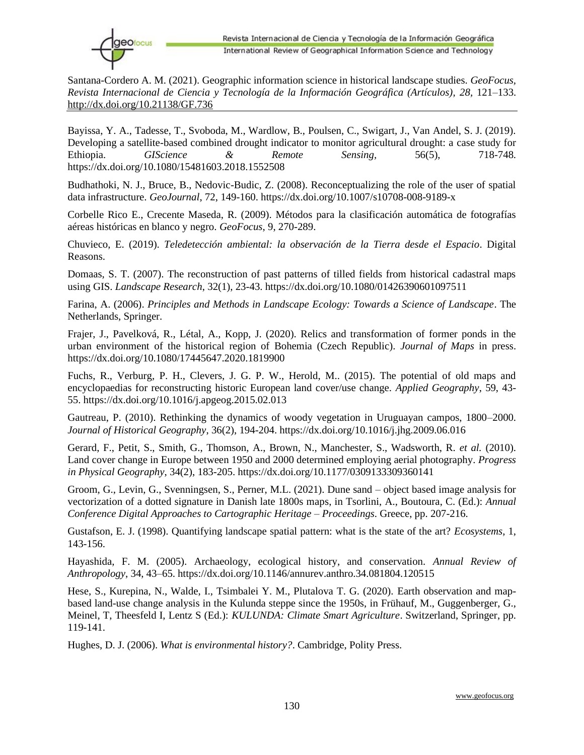

Bayissa, Y. A., Tadesse, T., Svoboda, M., Wardlow, B., Poulsen, C., Swigart, J., Van Andel, S. J. (2019). Developing a satellite-based combined drought indicator to monitor agricultural drought: a case study for Ethiopia. *GIScience & Remote Sensing,* 56(5), 718-748. https://dx.doi.org/10.1080/15481603.2018.1552508

Budhathoki, N. J., Bruce, B., Nedovic-Budic, Z. (2008). Reconceptualizing the role of the user of spatial data infrastructure. *GeoJournal*, 72, 149-160. https://dx.doi.org/10.1007/s10708-008-9189-x

Corbelle Rico E., Crecente Maseda, R. (2009). Métodos para la clasificación automática de fotografías aéreas históricas en blanco y negro. *GeoFocus*, 9, 270-289.

Chuvieco, E. (2019). *Teledetección ambiental: la observación de la Tierra desde el Espacio*. Digital Reasons.

Domaas, S. T. (2007). The reconstruction of past patterns of tilled fields from historical cadastral maps using GIS. *Landscape Research*, 32(1), 23-43. https://dx.doi.org/10.1080/01426390601097511

Farina, A. (2006). *Principles and Methods in Landscape Ecology: Towards a Science of Landscape*. The Netherlands, Springer.

Frajer, J., Pavelková, R., Létal, A., Kopp, J. (2020). Relics and transformation of former ponds in the urban environment of the historical region of Bohemia (Czech Republic). *Journal of Maps* in press. https://dx.doi.org/10.1080/17445647.2020.1819900

Fuchs, R., Verburg, P. H., Clevers, J. G. P. W., Herold, M.. (2015). The potential of old maps and encyclopaedias for reconstructing historic European land cover/use change. *Applied Geography*, 59, 43- 55. https://dx.doi.org/10.1016/j.apgeog.2015.02.013

Gautreau, P. (2010). Rethinking the dynamics of woody vegetation in Uruguayan campos, 1800–2000. *Journal of Historical Geography*, 36(2), 194-204. https://dx.doi.org/10.1016/j.jhg.2009.06.016

Gerard, F., Petit, S., Smith, G., Thomson, A., Brown, N., Manchester, S., Wadsworth, R. *et al.* (2010). Land cover change in Europe between 1950 and 2000 determined employing aerial photography. *Progress in Physical Geography*, 34(2), 183-205. https://dx.doi.org/10.1177/0309133309360141

Groom, G., Levin, G., Svenningsen, S., Perner, M.L. (2021). Dune sand – object based image analysis for vectorization of a dotted signature in Danish late 1800s maps, in Tsorlini, A., Boutoura, C. (Ed.): *Annual Conference Digital Approaches to Cartographic Heritage – Proceedings*. Greece, pp. 207-216.

Gustafson, E. J. (1998). Quantifying landscape spatial pattern: what is the state of the art? *Ecosystems*, 1, 143-156.

Hayashida, F. M. (2005). Archaeology, ecological history, and conservation. *Annual Review of Anthropology*, 34, 43–65. https://dx.doi.org/10.1146/annurev.anthro.34.081804.120515

Hese, S., Kurepina, N., Walde, I., Tsimbalei Y. M., Plutalova T. G. (2020). Earth observation and mapbased land-use change analysis in the Kulunda steppe since the 1950s, in Frühauf, M., Guggenberger, G., Meinel, T, Theesfeld I, Lentz S (Ed.): *KULUNDA: Climate Smart Agriculture*. Switzerland, Springer, pp. 119-141.

Hughes, D. J. (2006). *What is environmental history?*. Cambridge, Polity Press.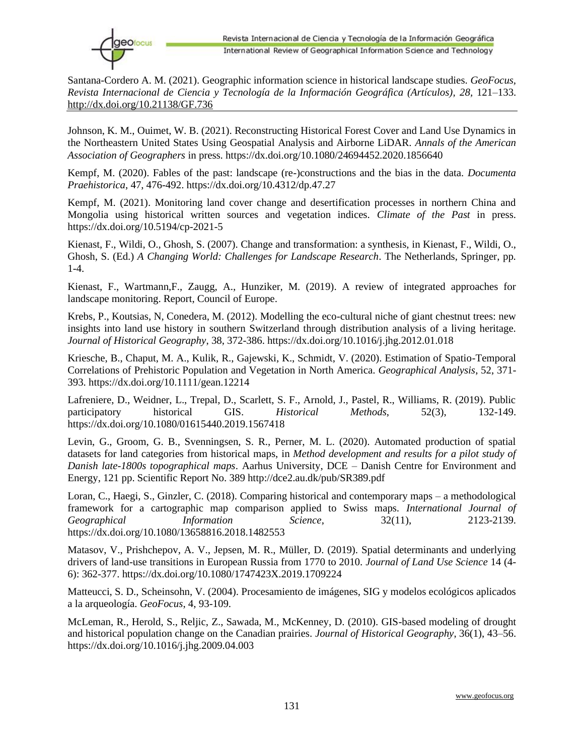

Johnson, K. M., Ouimet, W. B. (2021). Reconstructing Historical Forest Cover and Land Use Dynamics in the Northeastern United States Using Geospatial Analysis and Airborne LiDAR. *Annals of the American Association of Geographers* in press. https://dx.doi.org/10.1080/24694452.2020.1856640

Kempf, M. (2020). Fables of the past: landscape (re-)constructions and the bias in the data. *Documenta Praehistorica*, 47, 476-492. https://dx.doi.org/10.4312/dp.47.27

Kempf, M. (2021). Monitoring land cover change and desertification processes in northern China and Mongolia using historical written sources and vegetation indices. *Climate of the Past* in press. https://dx.doi.org/10.5194/cp-2021-5

Kienast, F., Wildi, O., Ghosh, S. (2007). Change and transformation: a synthesis, in Kienast, F., Wildi, O., Ghosh, S. (Ed.) *A Changing World: Challenges for Landscape Research*. The Netherlands, Springer, pp. 1-4.

Kienast, F., Wartmann,F., Zaugg, A., Hunziker, M. (2019). A review of integrated approaches for landscape monitoring. Report, Council of Europe.

Krebs, P., Koutsias, N, Conedera, M. (2012). Modelling the eco-cultural niche of giant chestnut trees: new insights into land use history in southern Switzerland through distribution analysis of a living heritage. *Journal of Historical Geography*, 38, 372-386. https://dx.doi.org/10.1016/j.jhg.2012.01.018

Kriesche, B., Chaput, M. A., Kulik, R., Gajewski, K., Schmidt, V. (2020). Estimation of Spatio-Temporal Correlations of Prehistoric Population and Vegetation in North America. *Geographical Analysis*, 52, 371- 393. https://dx.doi.org/10.1111/gean.12214

Lafreniere, D., Weidner, L., Trepal, D., Scarlett, S. F., Arnold, J., Pastel, R., Williams, R. (2019). Public participatory historical GIS. *Historical Methods*, 52(3), 132-149. https://dx.doi.org/10.1080/01615440.2019.1567418

Levin, G., Groom, G. B., Svenningsen, S. R., Perner, M. L. (2020). Automated production of spatial datasets for land categories from historical maps, in *Method development and results for a pilot study of Danish late-1800s topographical maps*. Aarhus University, DCE – Danish Centre for Environment and Energy, 121 pp. Scientific Report No. 389 http://dce2.au.dk/pub/SR389.pdf

Loran, C., Haegi, S., Ginzler, C. (2018). Comparing historical and contemporary maps – a methodological framework for a cartographic map comparison applied to Swiss maps. *International Journal of Geographical Information Science*, 32(11), 2123-2139. https://dx.doi.org/10.1080/13658816.2018.1482553

Matasov, V., Prishchepov, A. V., Jepsen, M. R., Müller, D. (2019). Spatial determinants and underlying drivers of land-use transitions in European Russia from 1770 to 2010. *Journal of Land Use Science* 14 (4- 6): 362-377. https://dx.doi.org/10.1080/1747423X.2019.1709224

Matteucci, S. D., Scheinsohn, V. (2004). Procesamiento de imágenes, SIG y modelos ecológicos aplicados a la arqueología. *GeoFocus*, 4, 93-109.

McLeman, R., Herold, S., Reljic, Z., Sawada, M., McKenney, D. (2010). GIS-based modeling of drought and historical population change on the Canadian prairies. *Journal of Historical Geography*, 36(1), 43–56. https://dx.doi.org/10.1016/j.jhg.2009.04.003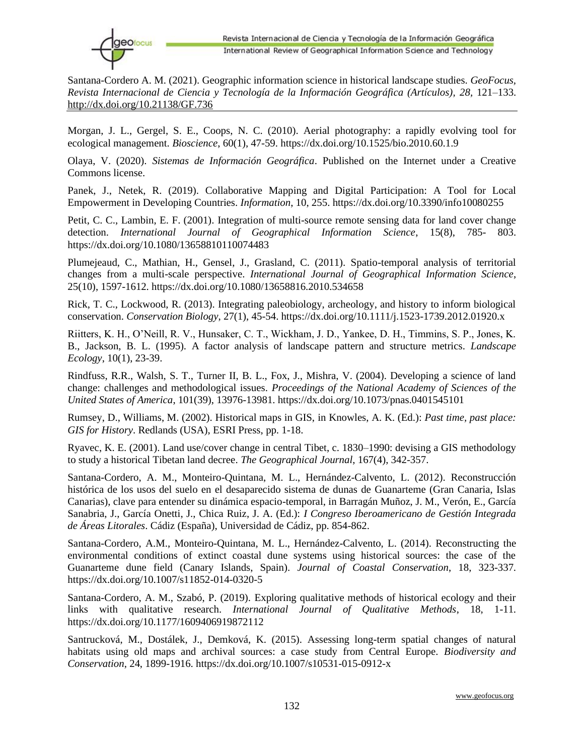Morgan, J. L., Gergel, S. E., Coops, N. C. (2010). Aerial photography: a rapidly evolving tool for ecological management. *Bioscience*, 60(1), 47-59. https://dx.doi.org/10.1525/bio.2010.60.1.9

Olaya, V. (2020). *Sistemas de Información Geográfica*. Published on the Internet under a Creative Commons license.

Panek, J., Netek, R. (2019). Collaborative Mapping and Digital Participation: A Tool for Local Empowerment in Developing Countries. *Information*, 10, 255. https://dx.doi.org/10.3390/info10080255

Petit, C. C., Lambin, E. F. (2001). Integration of multi-source remote sensing data for land cover change detection. *International Journal of Geographical Information Science*, 15(8), 785- 803. https://dx.doi.org/10.1080/13658810110074483

Plumejeaud, C., Mathian, H., Gensel, J., Grasland, C. (2011). Spatio-temporal analysis of territorial changes from a multi-scale perspective. *International Journal of Geographical Information Science*, 25(10), 1597-1612. https://dx.doi.org/10.1080/13658816.2010.534658

Rick, T. C., Lockwood, R. (2013). Integrating paleobiology, archeology, and history to inform biological conservation. *Conservation Biology*, 27(1), 45-54. https://dx.doi.org/10.1111/j.1523-1739.2012.01920.x

Riitters, K. H., O'Neill, R. V., Hunsaker, C. T., Wickham, J. D., Yankee, D. H., Timmins, S. P., Jones, K. B., Jackson, B. L. (1995). A factor analysis of landscape pattern and structure metrics. *Landscape Ecology*, 10(1), 23-39.

Rindfuss, R.R., Walsh, S. T., Turner II, B. L., Fox, J., Mishra, V. (2004). Developing a science of land change: challenges and methodological issues. *Proceedings of the National Academy of Sciences of the United States of America*, 101(39), 13976-13981. https://dx.doi.org/10.1073/pnas.0401545101

Rumsey, D., Williams, M. (2002). Historical maps in GIS, in Knowles, A. K. (Ed.): *Past time, past place: GIS for History*. Redlands (USA), ESRI Press, pp. 1-18.

Ryavec, K. E. (2001). Land use/cover change in central Tibet, c. 1830–1990: devising a GIS methodology to study a historical Tibetan land decree. *The Geographical Journal*, 167(4), 342-357.

Santana-Cordero, A. M., Monteiro-Quintana, M. L., Hernández-Calvento, L. (2012). Reconstrucción histórica de los usos del suelo en el desaparecido sistema de dunas de Guanarteme (Gran Canaria, Islas Canarias), clave para entender su dinámica espacio-temporal, in Barragán Muñoz, J. M., Verón, E., García Sanabria, J., García Onetti, J., Chica Ruiz, J. A. (Ed.): *I Congreso Iberoamericano de Gestión Integrada de Áreas Litorales*. Cádiz (España), Universidad de Cádiz, pp. 854-862.

Santana-Cordero, A.M., Monteiro-Quintana, M. L., Hernández-Calvento, L. (2014). Reconstructing the environmental conditions of extinct coastal dune systems using historical sources: the case of the Guanarteme dune field (Canary Islands, Spain). *Journal of Coastal Conservation*, 18, 323-337. https://dx.doi.org/10.1007/s11852-014-0320-5

Santana-Cordero, A. M., Szabó, P. (2019). Exploring qualitative methods of historical ecology and their links with qualitative research. *International Journal of Qualitative Methods*, 18, 1-11. https://dx.doi.org/10.1177/1609406919872112

Santrucková, M., Dostálek, J., Demková, K. (2015). Assessing long-term spatial changes of natural habitats using old maps and archival sources: a case study from Central Europe. *Biodiversity and Conservation*, 24, 1899-1916. https://dx.doi.org/10.1007/s10531-015-0912-x